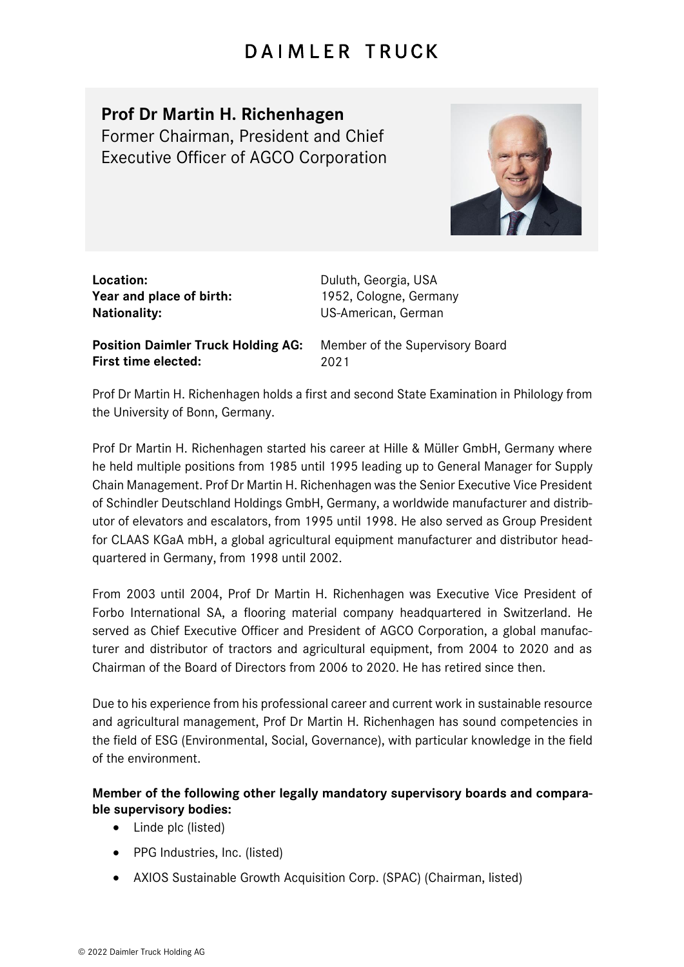## DAIMLER TRUCK

## **Prof Dr Martin H. Richenhagen**

Former Chairman, President and Chief Executive Officer of AGCO Corporation



**Location:** Duluth, Georgia, USA **Year and place of birth:** 1952, Cologne, Germany **Nationality:** US-American, German

**Position Daimler Truck Holding AG:** Member of the Supervisory Board **First time elected:** 2021

Prof Dr Martin H. Richenhagen holds a first and second State Examination in Philology from the University of Bonn, Germany.

Prof Dr Martin H. Richenhagen started his career at Hille & Müller GmbH, Germany where he held multiple positions from 1985 until 1995 leading up to General Manager for Supply Chain Management. Prof Dr Martin H. Richenhagen was the Senior Executive Vice President of Schindler Deutschland Holdings GmbH, Germany, a worldwide manufacturer and distributor of elevators and escalators, from 1995 until 1998. He also served as Group President for CLAAS KGaA mbH, a global agricultural equipment manufacturer and distributor headquartered in Germany, from 1998 until 2002.

From 2003 until 2004, Prof Dr Martin H. Richenhagen was Executive Vice President of Forbo International SA, a flooring material company headquartered in Switzerland. He served as Chief Executive Officer and President of AGCO Corporation, a global manufacturer and distributor of tractors and agricultural equipment, from 2004 to 2020 and as Chairman of the Board of Directors from 2006 to 2020. He has retired since then.

Due to his experience from his professional career and current work in sustainable resource and agricultural management, Prof Dr Martin H. Richenhagen has sound competencies in the field of ESG (Environmental, Social, Governance), with particular knowledge in the field of the environment.

## **Member of the following other legally mandatory supervisory boards and comparable supervisory bodies:**

- Linde plc (listed)
- PPG Industries, Inc. (listed)
- AXIOS Sustainable Growth Acquisition Corp. (SPAC) (Chairman, listed)